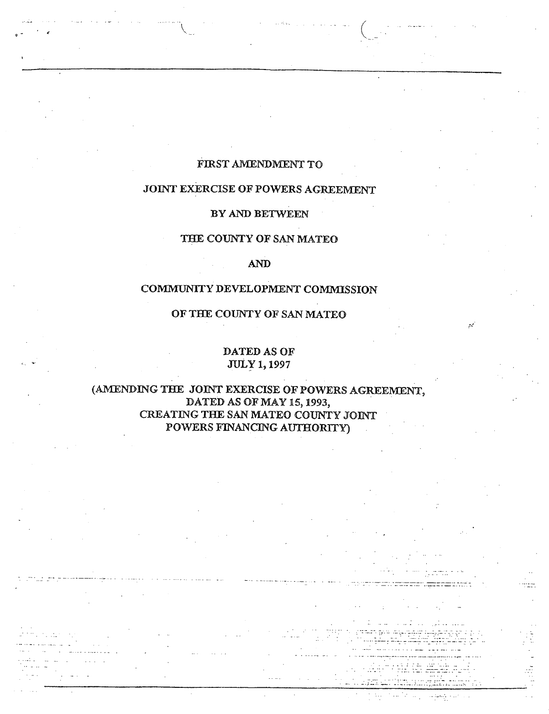## **FIRST AMENDMENT TO**

# **JOINT EXERCISE OF POWERS AGREEMENT**

#### **BY AND BETWEEN**

## **THE COUNTY OF SAN MATEO**

#### **AND**

#### **COMMUNITY DEVELOPMENT COMMISSION**

# **OF THE COUNTY OF SAN MATEO**

# **DATED AS OF JULY 1,1997**

# **(AMENDING THE JOINT EXERCISE OF POWERS AGREEMENT, DATED AS OF MAY 15,1993, ' CREATING THE SAN MATEO COUNTY JOINT POWERS FINANCING AUTHORITY) .**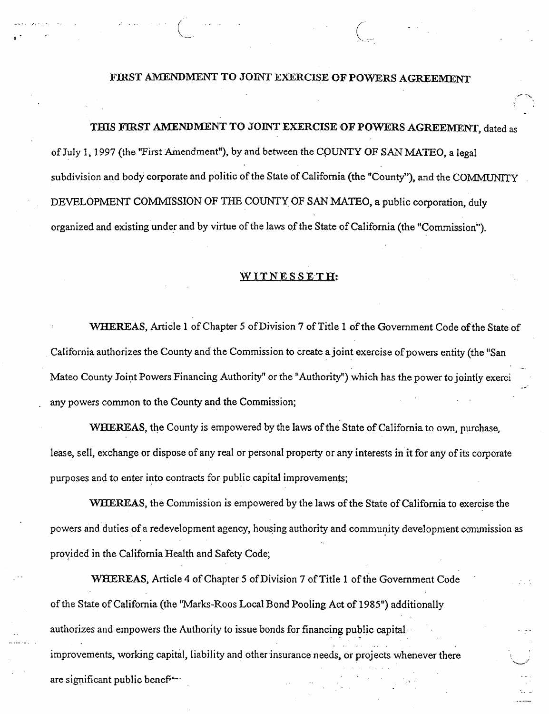## **FIRST AMENDMENT TO JOINT EXERCISE OF POWERS AGREEMENT**

**THIS FIRST AMENDMENT TO JOINT EXERCISE OF POWERS AGREEMENT, dated as of July 1,1997 (the "First Amendment"), by and between the CPUNTY OF SAN MATEO, a legal subdivision and body corporate and politic of the State of California (the "County"), and the COMMUNITY DEVELOPMENT COMMISSION OF THE COUNTY OF SAN MATEO, a public corporation, duly**  organized and existing under and by virtue of the laws of the State of California (the "Commission").

#### **WITNESSETH:**

WHEREAS, Article 1 of Chapter 5 of Division 7 of Title 1 of the Government Code of the State of California authorizes the County and the Commission to create a joint exercise of powers entity (the "San **Mateo County Joint Powers Financing Authority" or the "Authority") which has the power to jointly exerci . any powers common to the County and the Commission;** 

**WHEREAS, the County is empowered by the laws of the State of California to own, purchase.**  lease, sell, exchange or dispose of any real or personal property or any interests in it for any of its corporate **purposes and to enter into contracts for public capital improvements;** 

**WHEREAS, the Commission is empowered by the laws of the State of California to exercise the powers and duties of a redevelopment agency, housing authority and community development commission as provided in the California Health and Safety Code;** 

**WHEREAS, Article 4 of Chapter 5 of Division 7 of Title 1 of the Government Code of the State of California (the "Marks-Roos Local Bond Pooling Act of 1985") additionally authorizes and empowers the Authority to issue bonds for financing public capital improvements, working capital, liability and other insurance needs, or projects whenever there**   $\alpha$  **are significant public benef<sup>+-+</sup>**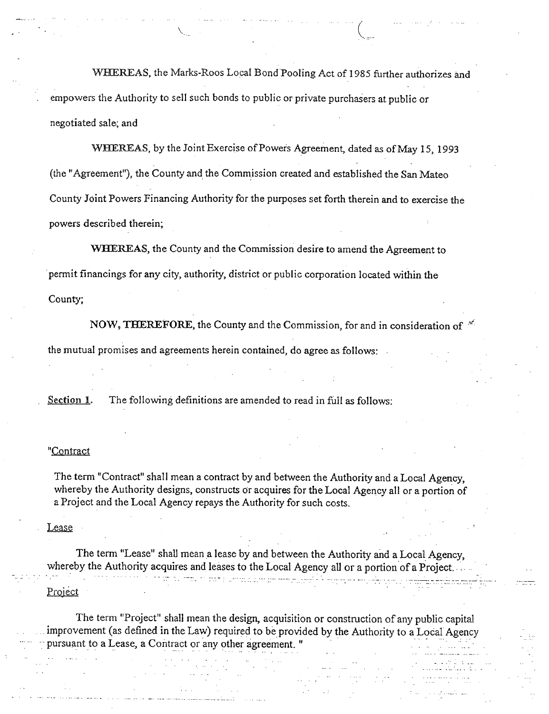**WHEREAS, the Marks-Roos Local Bond Pooling Act of 1985 further authorizes and . empowers the Authority to sell such bonds to public or private purchasers at public or negotiated sale; and** 

**WHEREAS, by the Joint Exercise of Powers Agreement, dated as of May 15, 1993 (the "Agreement"), the County and the Commission created and established the San Mateo County Joint Powers Financing Authority for the purposes set forth therein and to exercise the powers described therein;** 

**WHEREAS, the County and the Commission desire to amend the Agreement to permit financings for any city, authority, district or public corporation located within the County;** 

**NOW, THEREFORE, the County and the Commission, for and in consideration of**  $\mathbb{R}^2$ **the mutual promises and agreements herein contained, do agree as follows:** 

**. Section 1. The following definitions are amended to read in full as follows:** 

#### **"Contract**

**The term "Contract" shall mean a contract by and between the Authority and a Local Agency, whereby the Authority designs, constructs or acquires for the Local Agency all or a portion of <sup>a</sup>Project and the Local Agency repays the Authority for such costs.** 

#### **Lease**

**The term "Lease" shall mean a lease by and between the Authority and a Local Agency, whereby the Authority acquires and leases to the Local Agency all or a portion of a Project.**  للطاعين الأراط كسطول سرمستك متبع معاري المرادية المتحدة المحمد المتحدة **Project** 

**The term "Project" shall mean the design, acquisition or construction of any public capital**  improvement (as defined in the Law) required to be provided by the Authority to a Local Agency **pursuant to a Lease, a Contract or any other agreement. " . . .**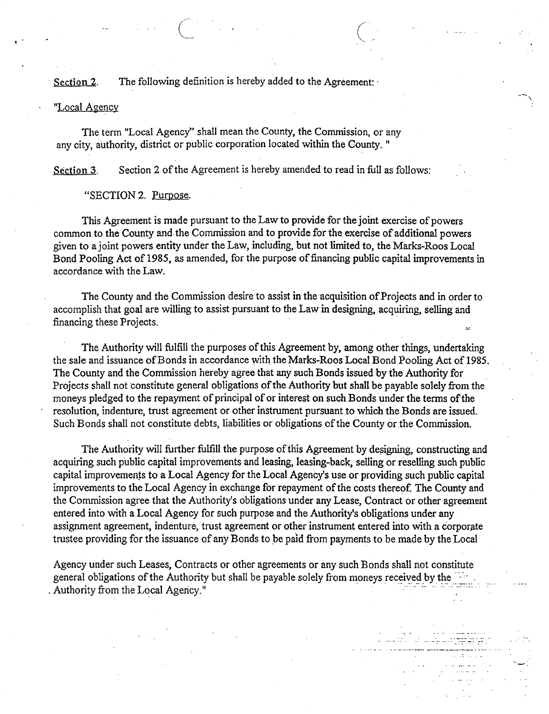Section 2. The following definition is hereby added to the Agreement:

#### **"Local Agency**

**The term "Local Agency" shall mean the County, the Commission, or any any city, authority, district or public corporation located within the County.."** 

**Section 3. Section 2 of the Agreement is hereby amended to read in full as follows:** 

**"SECTION 2. Purpose.** 

**This Agreement is made pursuant to the Law to provide for the joint exercise of powers**  common to the County and the Commission and to provide for the exercise of additional powers **given to a joint powers entity under the Law, including, but not limited to, the Marks-Roos Local Bond Pooling Act of 1985, as amended, for the purpose of financing public capital improvements in accordance with the Law.** 

**The County and the Commission desire to assist in the acquisition of Projects and in order to accomplish that goal are willing to assist pursuant to the Law in designing, acquiring, selling and financing these Projects.**  /•.\*

**The Authority will fulfill the purposes of this Agreement by, among other things, undertaking the sale and issuance of Bonds in accordance with the Marks-Roos Local Bond Pooling Act of 1985. The County and the Commission hereby agree that any such Bonds issued by the Authority for Projects shall not constitute general obligations of the Authority but shall be payable solely from the moneys pledged to the repayment of principal of or interest on such Bonds under the terms of the ' resolution, indenture, trust agreement or other instrument pursuant to which the Bonds are issued. Such Bonds shall not constitute debts, liabilities or obligations of the County or the Commission.** 

**The Authority will further fulfill the purpose of this Agreement by designing, constructing and acquiring such public capital improvements and leasing, leasing-back, selling or reselling such public capital improvements to a Local Agency for the Local Agency's use or providing such public capital improvements to the Local Agency in exchange for repayment of the costs thereof. The County and the Commission agree that the Authority's obligations under any Lease, Contract or other agreement**  entered into with a Local Agency for such purpose and the Authority's obligations under any **assignment agreement, indenture, trust agreement or other instrument entered into with a corporate trustee providing for the issuance of any Bonds to be paid from payments to be made by the Local** 

**Agency under such Leases, Contracts or other agreements or any such Bonds shall not constitute general obligations of the Authority but shall be payable solely from moneys received by the .**  Authority from the Local Agency."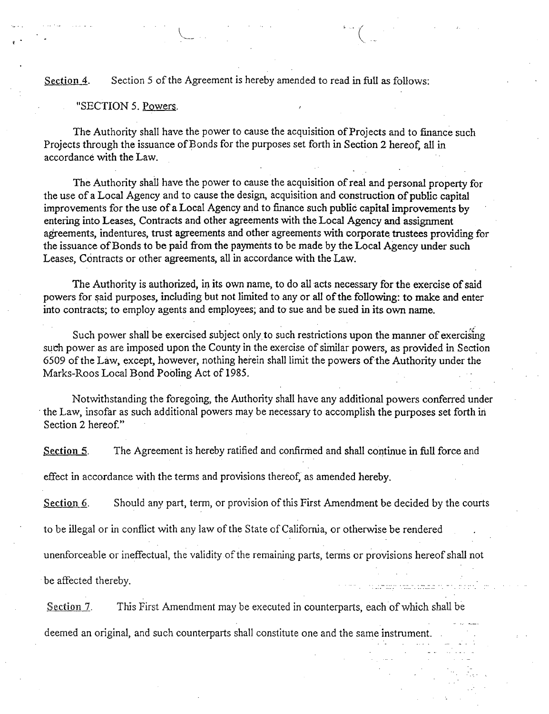## **Section 4. Section 5 of the Agreement is hereby amended to read in full as follows:**

**v..** 

#### **"SECTION 5. Powers.**

**The Authority shall have the power to cause the acquisition of Projects and to finance such Projects through the issuance of Bonds for the purposes set forth in Section 2 hereof, all in accordance with the Law.** 

**The Authority shall have the power to cause the acquisition of real and personal property for the use of a Local Agency and to cause the design, acquisition and construction of public capital improvements for the use of a Local Agency and to finance such public capital improvements by entering into Leases, Contracts and other agreements with the Local Agency and assignment agreements, indentures, trust agreements and other agreements with corporate trustees providing for the issuance of Bonds to be paid from the payments to be made by the Local Agency under such Leases, Contracts or other agreements, all in accordance with the Law.** 

**The Authority is authorized, in its own name, to do all acts necessary for the exercise of said powers for said purposes, including but not limited to any or all of the following: to make and enter into contracts; to employ agents and employees; and to sue and be sued in its own name.** 

*'4* **Such power shall be exercised subject only, to such restrictions upon the manner of exercising such power as are imposed upon the County in the exercise of similar powers, as provided in Section 6509 of the Law, except, however, nothing herein shall limit the powers of the Authority under the**  Marks-Roos Local Bond Pooling Act of 1985.

**Notwithstanding the foregoing, the Authority shall have any additional powers conferred under the Law, insofar as such additional powers may be necessary to accomplish the purposes set forth in Section 2 hereof."** 

**Section 5. The Agreement is hereby ratified and confirmed and shall continue in full force and** 

**effect in accordance with the terms and provisions thereof, as amended hereby.** 

**Section 6. Should any part, term, or provision of this First Amendment be decided by the courts** 

**to be illegal or in conflict with any law of the State of California, or otherwise be rendered** 

**unenforceable or ineffectual, the validity of the remaining parts, terms or provisions hereof shall not** 

a di sebagai pada anggota pada 1918.<br>Pagalang pada anggota pada anggota pada ang

be affected thereby.

Section 7. This First Amendment may be executed in counterparts, each of which shall be

deemed an original, and such counterparts shall constitute one and the same instrument. .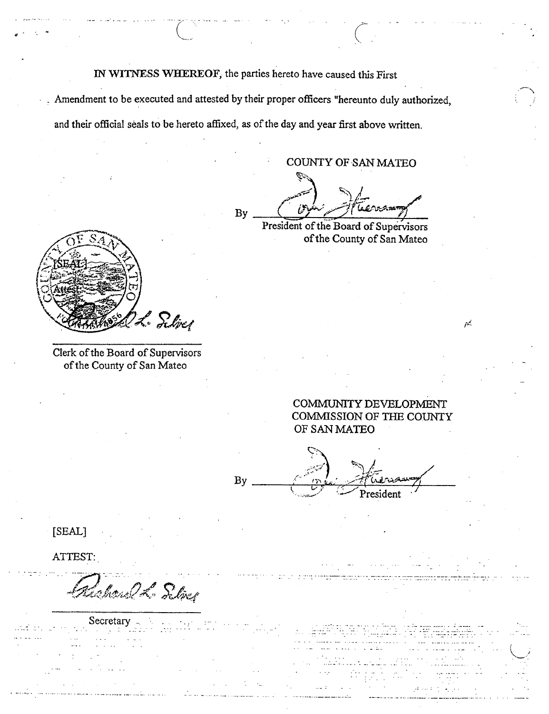**IN WITNESS WHEREOF, the parties hereto have caused this First** 

**. Amendment to be executed and attested by their proper officers "hereunto duly authorized. and their official seals to be hereto affixed, as of the day and year first above written.** 

**COUNTY OF SAN MATEO** 

**By** President of the Board of Supervisors

**of the County of San Mateo** 



**Clerk of the Board of Supervisors of the County of San Mateo** 

> **COMMUNITY DEVELOPMENT COMMISSION OF THE COUNTY OF SAN MATEO**

بمبر

 $\overline{\mathcal{P}^{\mathcal{A}}\mathcal{A}}$ *President* **By :.MSi** 

**[SEAL]** 

**ATTEST:** 

lahone 26 Silver

Secretary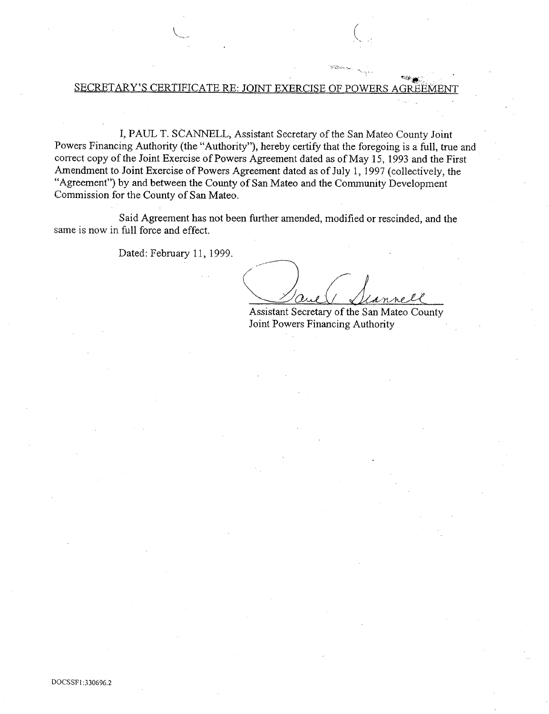#### SECRETARY'S CERTIFICATE RE: JOINT EXERCISE OF

<sup>V</sup>*(* 

**I, PAUL T. SCANNELL, Assistant Secretary of the San Mateo County Joint Powers Financing Authority (the "Authority"), hereby certify that the foregoing is a full, true and correct copy of the Joint Exercise of Powers Agreement dated as of May 15, 1993 and the First Amendment to Joint Exercise of Powers Agreement dated as of July 1,1997 (collectively, the "Agreement") by and between the County of San Mateo and the Community Development Commission for the County of San Mateo.** 

**Said Agreement has not been further amended, modified or rescinded, and the same is now in full force and effect.** 

**Dated: February 11, 1999.** 

*^ QS-ULJK / ^* 

**Assistant Secretary of the San Mateo County Joint Powers Financing Authority** 

*\*42-*